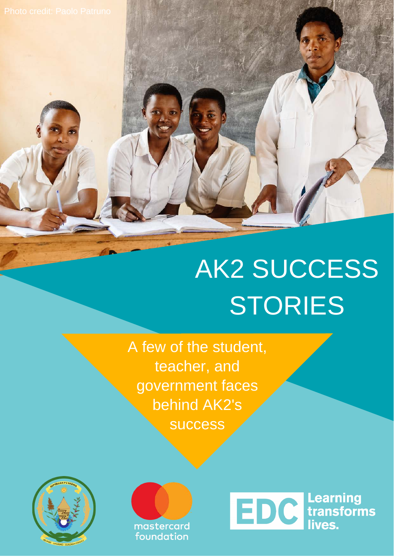## AK2 SUCCESS **STORIES**

A few of the student, teacher, and government faces behind AK2's success



mastercard foundation

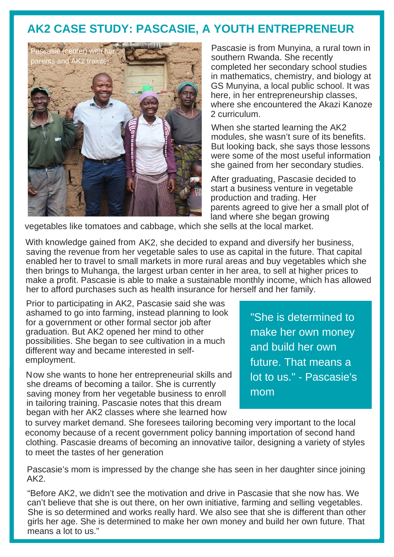## **AK2 CASE STUDY: PASCASIE, A YOUTH ENTREPRENEUR**



Pascasie is from Munyina, a rural town in southern Rwanda. She recently completed her secondary school studies in mathematics, chemistry, and biology at GS Munyina, a local public school. It was here, in her entrepreneurship classes, where she encountered the Akazi Kanoze 2 curriculum.

When she started learning the AK2 modules, she wasn't sure of its benefits. But looking back, she says those lessons were some of the most useful information she gained from her secondary studies.

After graduating, Pascasie decided to start a business venture in vegetable production and trading. Her parents agreed to give her a small plot of land where she began growing

vegetables like tomatoes and cabbage, which she sells at the local market.

With knowledge gained from AK2, she decided to expand and diversify her business, saving the revenue from her vegetable sales to use as capital in the future. That capital enabled her to travel to small markets in more rural areas and buy vegetables which she then brings to Muhanga, the largest urban center in her area, to sell at higher prices to make a profit. Pascasie is able to make a sustainable monthly income, which has allowed her to afford purchases such as health insurance for herself and her family.

Prior to participating in AK2, Pascasie said she was ashamed to go into farming, instead planning to look for a government or other formal sector job after graduation. But AK2 opened her mind to other possibilities. She began to see cultivation in a much different way and became interested in selfemployment.

Now she wants to hone her entrepreneurial skills and she dreams of becoming a tailor. She is currently saving money from her vegetable business to enroll in tailoring training. Pascasie notes that this dream began with her AK2 classes where she learned how

"She is determined to make her own money and build her own future. That means a lot to us." - Pascasie's mom

to survey market demand. She foresees tailoring becoming very important to the local economy because of a recent government policy banning importation of second hand clothing. Pascasie dreams of becoming an innovative tailor, designing a variety of styles to meet the tastes of her generation

Pascasie's mom is impressed by the change she has seen in her daughter since joining AK2.

"Before AK2, we didn't see the motivation and drive in Pascasie that she now has. We can't believe that she is out there, on her own initiative, farming and selling vegetables. She is so determined and works really hard. We also see that she is different than other girls her age. She is determined to make her own money and build her own future. That means a lot to us."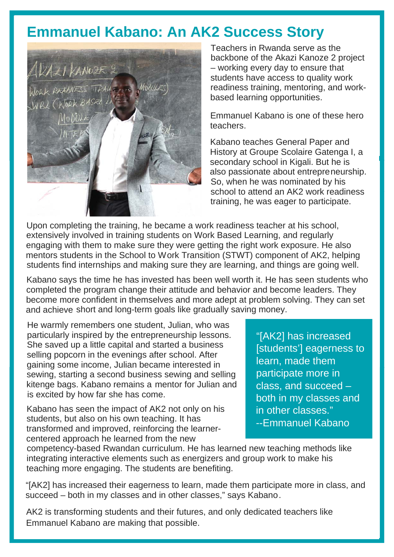## **Emmanuel Kabano: An AK2 Success Story**



Teachers in Rwanda serve as the backbone of the Akazi Kanoze 2 project – working every day to ensure that students have access to quality work readiness training, mentoring, and workbased learning opportunities.

Emmanuel Kabano is one of these hero teachers.

Kabano teaches General Paper and History at Groupe Scolaire Gatenga I, a secondary school in Kigali. But he is also passionate about entrepreneurship. So, when he was nominated by his school to attend an AK2 work readiness training, he was eager to participate.

Upon completing the training, he became a work readiness teacher at his school, extensively involved in training students on Work Based Learning, and regularly engaging with them to make sure they were getting the right work exposure. He also mentors students in the School to Work Transition (STWT) component of AK2, helping students find internships and making sure they are learning, and things are going well.

Kabano says the time he has invested has been well worth it. He has seen students who completed the program change their attitude and behavior and become leaders. They become more confident in themselves and more adept at problem solving. They can set and achieve short and long-term goals like gradually saving money.

He warmly remembers one student, Julian, who was particularly inspired by the entrepreneurship lessons. She saved up a little capital and started a business selling popcorn in the evenings after school. After gaining some income, Julian became interested in sewing, starting a second business sewing and selling kitenge bags. Kabano remains a mentor for Julian and is excited by how far she has come.

Kabano has seen the impact of AK2 not only on his students, but also on his own teaching. It has transformed and improved, reinforcing the learnercentered approach he learned from the new

"[AK2] has increased [students'] eagerness to learn, made them participate more in class, and succeed – both in my classes and in other classes." --Emmanuel Kabano

competency-based Rwandan curriculum. He has learned new teaching methods like integrating interactive elements such as energizers and group work to make his teaching more engaging. The students are benefiting.

"[AK2] has increased their eagerness to learn, made them participate more in class, and succeed – both in my classes and in other classes," says Kabano.

AK2 is transforming students and their futures, and only dedicated teachers like Emmanuel Kabano are making that possible.